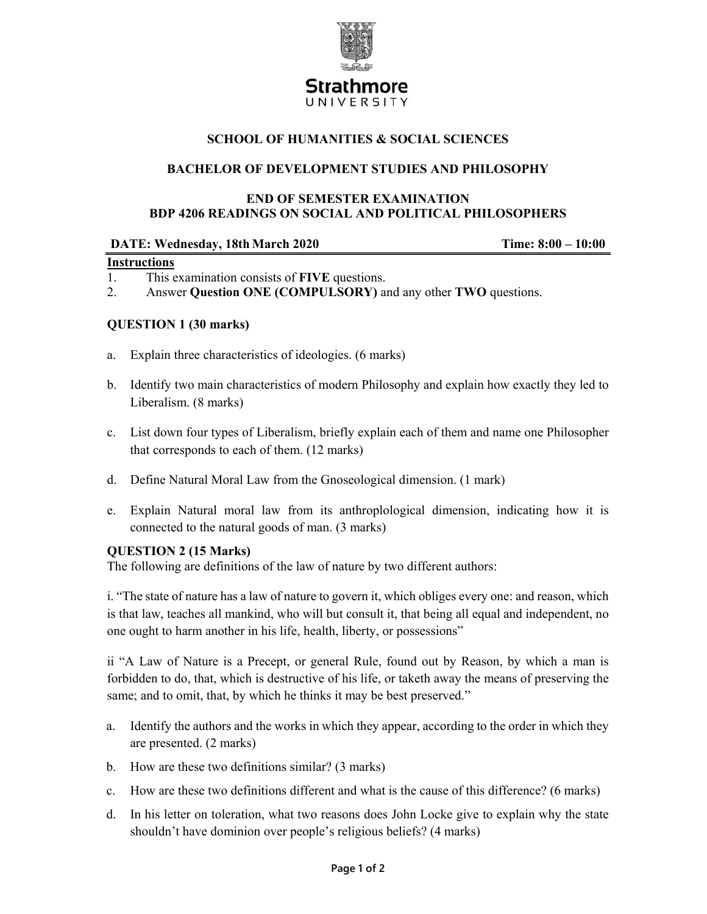

# **SCHOOL OF HUMANITIES & SOCIAL SCIENCES**

### **BACHELOR OF DEVELOPMENT STUDIES AND PHILOSOPHY**

### **END OF SEMESTER EXAMINATION BDP 4206 READINGS ON SOCIAL AND POLITICAL PHILOSOPHERS**

| DATE: Wednesday, 18th March 2020 | Time: $8:00 - 10:00$ |
|----------------------------------|----------------------|
| $I = A + \frac{1}{2}$            |                      |

#### **Instructions**

- 1. This examination consists of **FIVE** questions.
- 2. Answer **Question ONE (COMPULSORY)** and any other **TWO** questions.

## **QUESTION 1 (30 marks)**

- a. Explain three characteristics of ideologies. (6 marks)
- b. Identify two main characteristics of modern Philosophy and explain how exactly they led to Liberalism. (8 marks)
- c. List down four types of Liberalism, briefly explain each of them and name one Philosopher that corresponds to each of them. (12 marks)
- d. Define Natural Moral Law from the Gnoseological dimension. (1 mark)
- e. Explain Natural moral law from its anthroplological dimension, indicating how it is connected to the natural goods of man. (3 marks)

### **QUESTION 2 (15 Marks)**

The following are definitions of the law of nature by two different authors:

i. "The state of nature has a law of nature to govern it, which obliges every one: and reason, which is that law, teaches all mankind, who will but consult it, that being all equal and independent, no one ought to harm another in his life, health, liberty, or possessions"

ii "A Law of Nature is a Precept, or general Rule, found out by Reason, by which a man is forbidden to do, that, which is destructive of his life, or taketh away the means of preserving the same; and to omit, that, by which he thinks it may be best preserved."

- a. Identify the authors and the works in which they appear, according to the order in which they are presented. (2 marks)
- b. How are these two definitions similar? (3 marks)
- c. How are these two definitions different and what is the cause of this difference? (6 marks)
- d. In his letter on toleration, what two reasons does John Locke give to explain why the state shouldn't have dominion over people's religious beliefs? (4 marks)